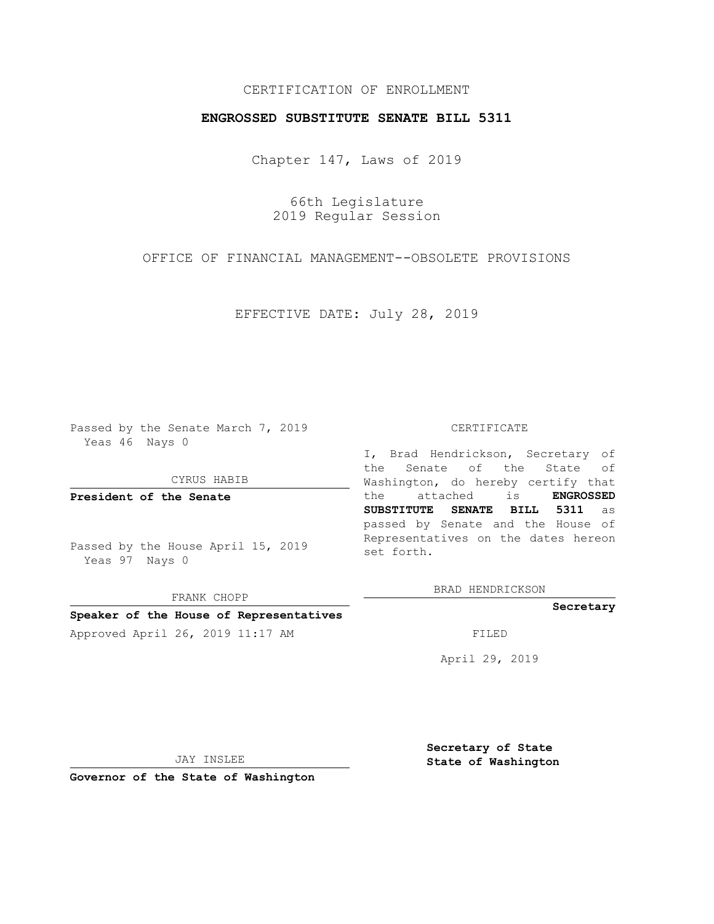## CERTIFICATION OF ENROLLMENT

## **ENGROSSED SUBSTITUTE SENATE BILL 5311**

Chapter 147, Laws of 2019

66th Legislature 2019 Regular Session

OFFICE OF FINANCIAL MANAGEMENT--OBSOLETE PROVISIONS

EFFECTIVE DATE: July 28, 2019

Passed by the Senate March 7, 2019 Yeas 46 Nays 0

CYRUS HABIB

**President of the Senate**

Passed by the House April 15, 2019 Yeas 97 Nays 0

FRANK CHOPP

### **Speaker of the House of Representatives**

Approved April 26, 2019 11:17 AM FILED

#### CERTIFICATE

I, Brad Hendrickson, Secretary of the Senate of the State of Washington, do hereby certify that the attached is **ENGROSSED SUBSTITUTE SENATE BILL 5311** as passed by Senate and the House of Representatives on the dates hereon set forth.

BRAD HENDRICKSON

**Secretary**

April 29, 2019

JAY INSLEE

**Governor of the State of Washington**

**Secretary of State State of Washington**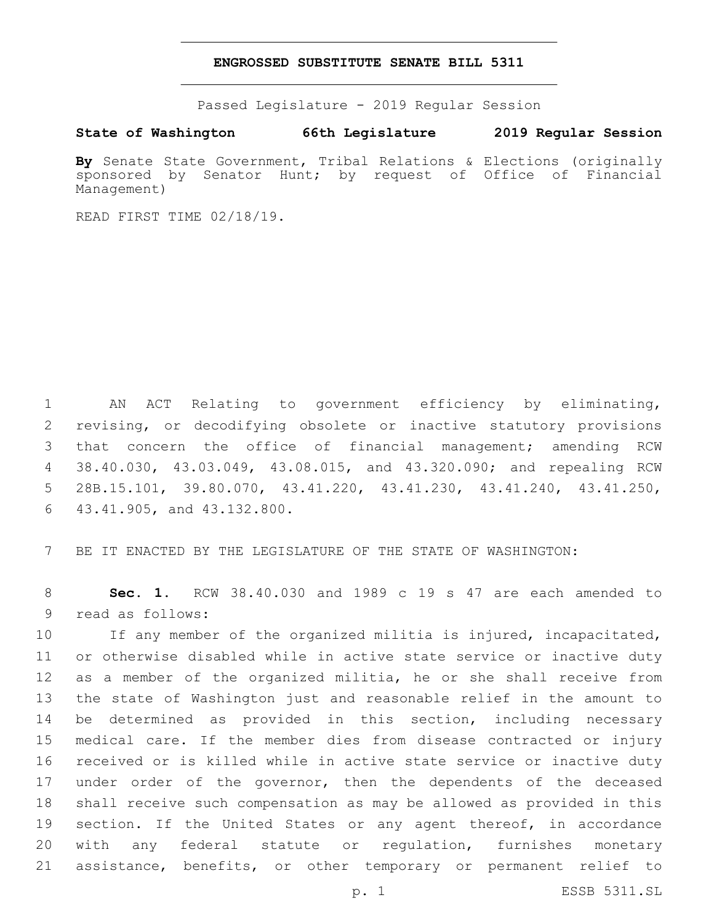### **ENGROSSED SUBSTITUTE SENATE BILL 5311**

Passed Legislature - 2019 Regular Session

**State of Washington 66th Legislature 2019 Regular Session**

**By** Senate State Government, Tribal Relations & Elections (originally sponsored by Senator Hunt; by request of Office of Financial Management)

READ FIRST TIME 02/18/19.

 AN ACT Relating to government efficiency by eliminating, revising, or decodifying obsolete or inactive statutory provisions that concern the office of financial management; amending RCW 38.40.030, 43.03.049, 43.08.015, and 43.320.090; and repealing RCW 28B.15.101, 39.80.070, 43.41.220, 43.41.230, 43.41.240, 43.41.250, 43.41.905, and 43.132.800.6

7 BE IT ENACTED BY THE LEGISLATURE OF THE STATE OF WASHINGTON:

8 **Sec. 1.** RCW 38.40.030 and 1989 c 19 s 47 are each amended to 9 read as follows:

 If any member of the organized militia is injured, incapacitated, or otherwise disabled while in active state service or inactive duty as a member of the organized militia, he or she shall receive from the state of Washington just and reasonable relief in the amount to be determined as provided in this section, including necessary medical care. If the member dies from disease contracted or injury received or is killed while in active state service or inactive duty 17 under order of the governor, then the dependents of the deceased shall receive such compensation as may be allowed as provided in this 19 section. If the United States or any agent thereof, in accordance with any federal statute or regulation, furnishes monetary assistance, benefits, or other temporary or permanent relief to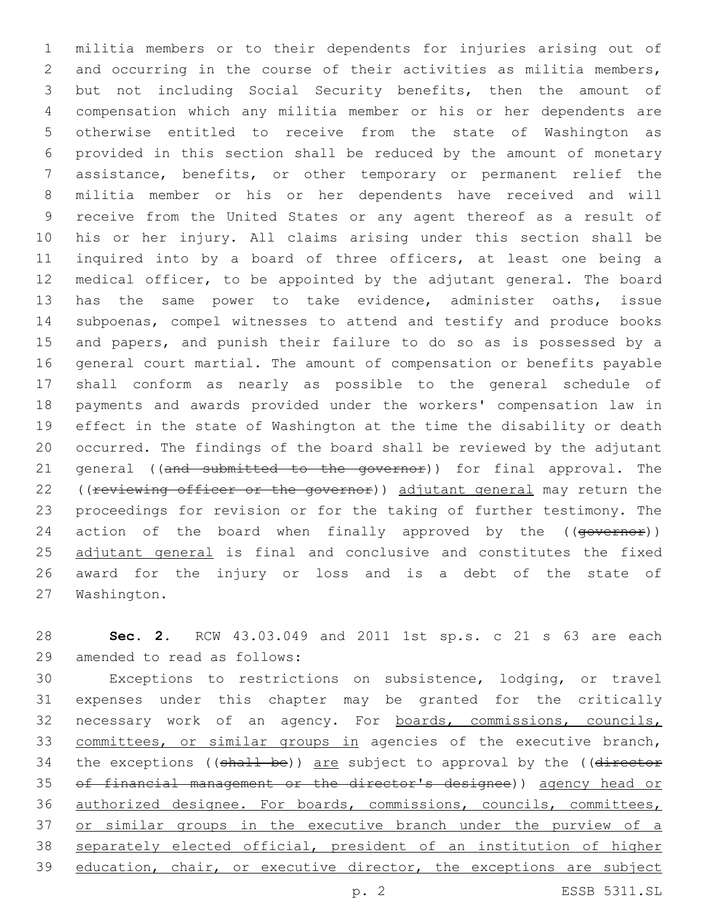militia members or to their dependents for injuries arising out of and occurring in the course of their activities as militia members, but not including Social Security benefits, then the amount of compensation which any militia member or his or her dependents are otherwise entitled to receive from the state of Washington as provided in this section shall be reduced by the amount of monetary assistance, benefits, or other temporary or permanent relief the militia member or his or her dependents have received and will receive from the United States or any agent thereof as a result of his or her injury. All claims arising under this section shall be inquired into by a board of three officers, at least one being a medical officer, to be appointed by the adjutant general. The board has the same power to take evidence, administer oaths, issue subpoenas, compel witnesses to attend and testify and produce books and papers, and punish their failure to do so as is possessed by a general court martial. The amount of compensation or benefits payable shall conform as nearly as possible to the general schedule of payments and awards provided under the workers' compensation law in effect in the state of Washington at the time the disability or death occurred. The findings of the board shall be reviewed by the adjutant 21 general ((and submitted to the governor)) for final approval. The 22 ((reviewing officer or the governor)) adjutant general may return the proceedings for revision or for the taking of further testimony. The 24 action of the board when finally approved by the ((governor)) 25 adjutant general is final and conclusive and constitutes the fixed award for the injury or loss and is a debt of the state of 27 Washington.

 **Sec. 2.** RCW 43.03.049 and 2011 1st sp.s. c 21 s 63 are each 29 amended to read as follows:

 Exceptions to restrictions on subsistence, lodging, or travel expenses under this chapter may be granted for the critically necessary work of an agency. For boards, commissions, councils, committees, or similar groups in agencies of the executive branch, 34 the exceptions ((shall be)) are subject to approval by the ((director of financial management or the director's designee)) agency head or authorized designee. For boards, commissions, councils, committees, or similar groups in the executive branch under the purview of a separately elected official, president of an institution of higher 39 education, chair, or executive director, the exceptions are subject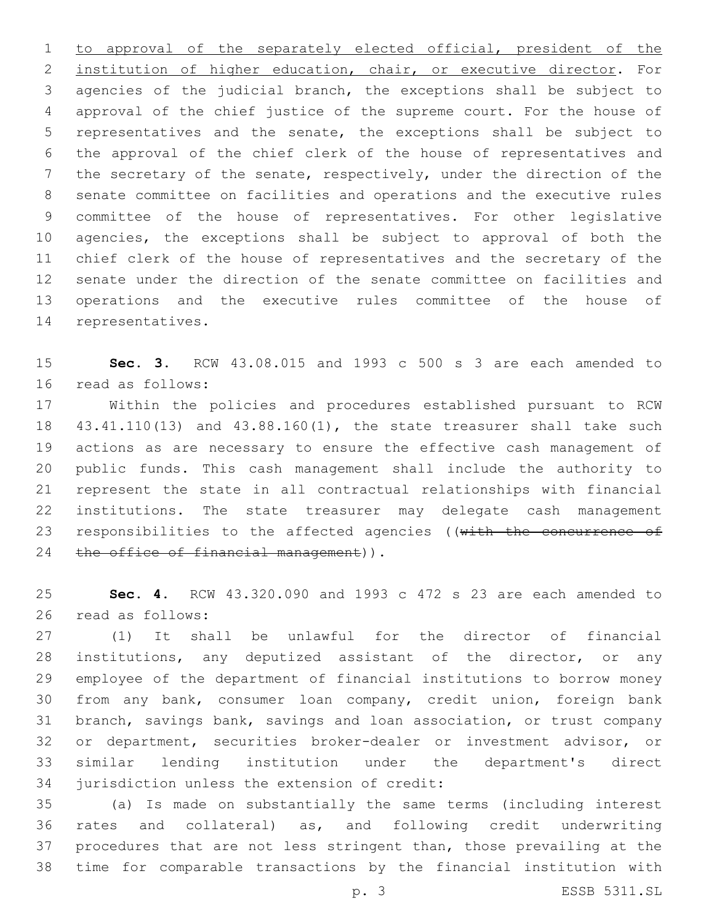to approval of the separately elected official, president of the institution of higher education, chair, or executive director. For agencies of the judicial branch, the exceptions shall be subject to approval of the chief justice of the supreme court. For the house of representatives and the senate, the exceptions shall be subject to the approval of the chief clerk of the house of representatives and the secretary of the senate, respectively, under the direction of the senate committee on facilities and operations and the executive rules committee of the house of representatives. For other legislative agencies, the exceptions shall be subject to approval of both the chief clerk of the house of representatives and the secretary of the senate under the direction of the senate committee on facilities and operations and the executive rules committee of the house of 14 representatives.

 **Sec. 3.** RCW 43.08.015 and 1993 c 500 s 3 are each amended to 16 read as follows:

 Within the policies and procedures established pursuant to RCW 43.41.110(13) and 43.88.160(1), the state treasurer shall take such actions as are necessary to ensure the effective cash management of public funds. This cash management shall include the authority to represent the state in all contractual relationships with financial institutions. The state treasurer may delegate cash management 23 responsibilities to the affected agencies (( $with$  the concurrence of 24 the office of financial management)).

 **Sec. 4.** RCW 43.320.090 and 1993 c 472 s 23 are each amended to 26 read as follows:

 (1) It shall be unlawful for the director of financial institutions, any deputized assistant of the director, or any employee of the department of financial institutions to borrow money from any bank, consumer loan company, credit union, foreign bank branch, savings bank, savings and loan association, or trust company or department, securities broker-dealer or investment advisor, or similar lending institution under the department's direct 34 jurisdiction unless the extension of credit:

 (a) Is made on substantially the same terms (including interest rates and collateral) as, and following credit underwriting procedures that are not less stringent than, those prevailing at the time for comparable transactions by the financial institution with

p. 3 ESSB 5311.SL